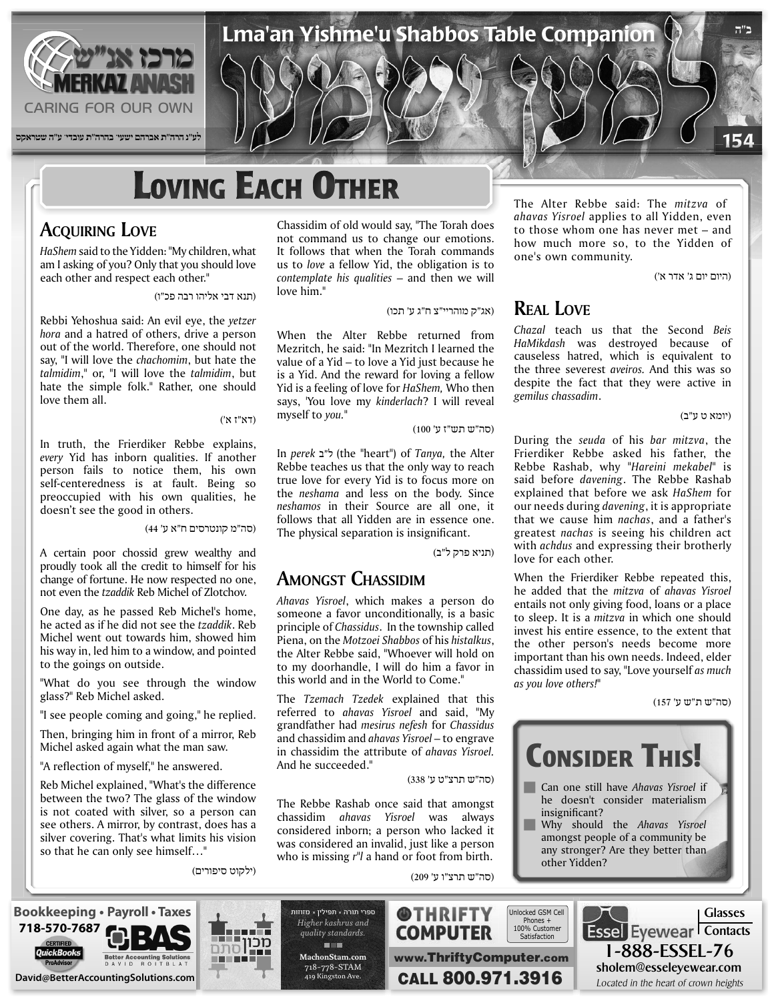

# **LOVING EACH OTHER**

## **ACQUIRING** LOVE

HaShem said to the Yidden: "My children, what am I asking of you? Only that you should love each other and respect each other."

(תנא דבי אליהו רבה פכ"ו)

Rebbi Yehoshua said: An evil eye, the yetzer hora and a hatred of others, drive a person out of the world. Therefore, one should not say, "I will love the *chachomim*, but hate the talmidim," or, "I will love the talmidim, but hate the simple folk." Rather, one should love them all.

(דא"ז א')

In truth, the Frierdiker Rebbe explains, every Yid has inborn qualities. If another person fails to notice them, his own self-centeredness is at fault. Being so preoccupied with his own qualities, he doesn't see the good in others.

(סה"מ קונטרסים ח"א ע' 44)

A certain poor chossid grew wealthy and proudly took all the credit to himself for his change of fortune. He now respected no one, not even the *tzaddik* Reb Michel of Zlotchov.

One day, as he passed Reb Michel's home, he acted as if he did not see the tzaddik. Reb Michel went out towards him, showed him his way in, led him to a window, and pointed to the goings on outside.

"What do you see through the window glass?" Reb Michel asked.

"I see people coming and going," he replied.

Then, bringing him in front of a mirror, Reb Michel asked again what the man saw.

"A reflection of myself," he answered.

**718-570-7687**

Reb Michel explained, "What's the difference between the two? The glass of the window is not coated with silver, so a person can see others. A mirror, by contrast, does has a silver covering. That's what limits his vision so that he can only see himself..."

(ילקוט סיפורים)

Chassidim of old would say, "The Torah does not command us to change our emotions. It follows that when the Torah commands us to love a fellow Yid, the obligation is to contemplate his qualities – and then we will love him."

(אג"ק מוהריי"צ ח"ג ע' תכו)

Lma'an Yishme'u Shabbos Table Companion

When the Alter Rebbe returned from Mezritch, he said: "In Mezritch I learned the value of a Yid  $-$  to love a Yid just because he is a Yid. And the reward for loving a fellow Yid is a feeling of love for *HaShem*, Who then says, 'You love my kinderlach? I will reveal myself to you."

(סה"ש תש"ז ע' 100)

 Alter the *,Tanya* of") heart "the (ל"ב *perek* In Rebbe teaches us that the only way to reach true love for every Yid is to focus more on the *neshama* and less on the body. Since neshamos in their Source are all one, it follows that all Yidden are in essence one. The physical separation is insignificant.

(תניא פרק ל"ב)

## **AMONGST CHASSIDIM**

Ahavas Yisroel, which makes a person do someone a favor unconditionally, is a basic principle of *Chassidus*. In the township called Piena, on the *Motzoei Shabbos* of his histalkus, the Alter Rebbe said, "Whoever will hold on to my doorhandle, I will do him a favor in this world and in the World to Come."

The Tzemach Tzedek explained that this referred to *ahavas Yisroel* and said, "My grandfather had *mesirus nefesh* for *Chassidus* and chassidim and *ahavas Yisroel* – to engrave in chassidim the attribute of *ahavas Yisroel*. And he succeeded."

(סה"ש תרצ"ט ע' 338)

The Rebbe Rashab once said that amongst chassidim *ahavas Yisroel* was always considered inborn; a person who lacked it was considered an invalid, just like a person who is missing r<sup>"</sup>*l* a hand or foot from birth.

The Alter Rebbe said: The *mitzva* of ahavas Yisroel applies to all Yidden, even to those whom one has never met  $-$  and how much more so, to the Yidden of one's own community.

(היום יום ג' אדר א')

**ב"ה**

154

## **REAL** LOVE

*Chazal* teach us that the Second *Beis*  of because destroyed was *HaMikdash* causeless hatred, which is equivalent to the three severest aveiros. And this was so despite the fact that they were active in .*chassadim gemilus*

(יומא ט ע"ב)

During the *seuda* of his *bar mitzva*, the Frierdiker Rebbe asked his father, the Rebbe Rashab, why "Hareini mekabel" is said before *davening*. The Rebbe Rashab explained that before we ask HaShem for our needs during *davening*, it is appropriate that we cause him nachas, and a father's greatest *nachas* is seeing his children act with *achdus* and expressing their brotherly love for each other.

When the Frierdiker Rebbe repeated this, *he added that the mitzva of ahavas Yisroel* entails not only giving food, loans or a place to sleep. It is a *mitzva* in which one should invest his entire essence, to the extent that the other person's needs become more important than his own needs. Indeed, elder chassidim used to say, "Love yourself *as much* as you love others!"

(סה"ש ת"ש ע' 157)



sholem@esseleyewear.com



n mar מכוו

ספרי תורה - תפילין - מזוזות Higher kashrus and *.standards quality* **THE com.MachonStam** 718-778-STAM **David@BetterAccountingSolutions.com.**<br>David@BetterAccountingSolutions.com. **Better AccountingSolutions.com. CALL 800.971.3916** 419 Kingston Ave.

(סה"ש תרצ"ו ע' 209)

**@THRIFTY COMPUTER** 

www.ThriftyComputer.com